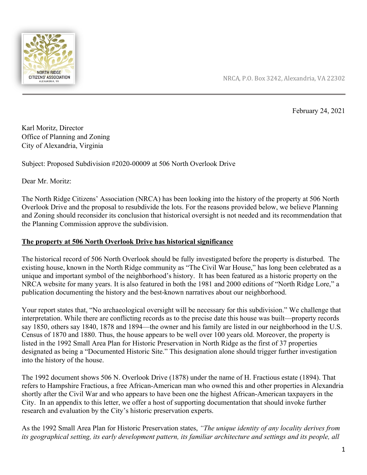

NRCA, P.O. Box 3242, Alexandria, VA 22302

February 24, 2021

Karl Moritz, Director Office of Planning and Zoning City of Alexandria, Virginia

Subject: Proposed Subdivision #2020-00009 at 506 North Overlook Drive

Dear Mr. Moritz:

The North Ridge Citizens' Association (NRCA) has been looking into the history of the property at 506 North Overlook Drive and the proposal to resubdivide the lots. For the reasons provided below, we believe Planning and Zoning should reconsider its conclusion that historical oversight is not needed and its recommendation that the Planning Commission approve the subdivision.

## **The property at 506 North Overlook Drive has historical significance**

The historical record of 506 North Overlook should be fully investigated before the property is disturbed. The existing house, known in the North Ridge community as "The Civil War House," has long been celebrated as a unique and important symbol of the neighborhood's history. It has been featured as a historic property on the NRCA website for many years. It is also featured in both the 1981 and 2000 editions of "North Ridge Lore," a publication documenting the history and the best-known narratives about our neighborhood.

Your report states that, "No archaeological oversight will be necessary for this subdivision." We challenge that interpretation. While there are conflicting records as to the precise date this house was built—property records say 1850, others say 1840, 1878 and 1894—the owner and his family are listed in our neighborhood in the U.S. Census of 1870 and 1880. Thus, the house appears to be well over 100 years old. Moreover, the property is listed in the 1992 Small Area Plan for Historic Preservation in North Ridge as the first of 37 properties designated as being a "Documented Historic Site." This designation alone should trigger further investigation into the history of the house.

The 1992 document shows 506 N. Overlook Drive (1878) under the name of H. Fractious estate (1894). That refers to Hampshire Fractious, a free African-American man who owned this and other properties in Alexandria shortly after the Civil War and who appears to have been one the highest African-American taxpayers in the City. In an appendix to this letter, we offer a host of supporting documentation that should invoke further research and evaluation by the City's historic preservation experts.

As the 1992 Small Area Plan for Historic Preservation states, *"The unique identity of any locality derives from* its geographical setting, its early development pattern, its familiar architecture and settings and its people, all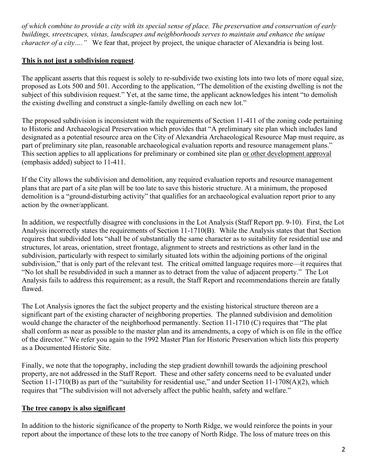of which combine to provide a city with its special sense of place. The preservation and conservation of early *buildings, streetscapes, vistas, landscapes and neighborhoods serves to maintain and enhance the unique character of a city* .... " We fear that, project by project, the unique character of Alexandria is being lost.

# **This is not just a subdivision request**.

The applicant asserts that this request is solely to re-subdivide two existing lots into two lots of more equal size, proposed as Lots 500 and 501. According to the application, "The demolition of the existing dwelling is not the subject of this subdivision request." Yet, at the same time, the applicant acknowledges his intent "to demolish the existing dwelling and construct a single-family dwelling on each new lot."

The proposed subdivision is inconsistent with the requirements of Section 11-411 of the zoning code pertaining to Historic and Archaeological Preservation which provides that "A preliminary site plan which includes land designated as a potential resource area on the City of Alexandria Archaeological Resource Map must require, as part of preliminary site plan, reasonable archaeological evaluation reports and resource management plans." This section applies to all applications for preliminary or combined site plan or other development approval (emphasis added) subject to 11-411.

If the City allows the subdivision and demolition, any required evaluation reports and resource management plans that are part of a site plan will be too late to save this historic structure. At a minimum, the proposed demolition is a "ground-disturbing activity" that qualifies for an archaeological evaluation report prior to any action by the owner/applicant.

In addition, we respectfully disagree with conclusions in the Lot Analysis (Staff Report pp. 9-10). First, the Lot Analysis incorrectly states the requirements of Section 11-1710(B). While the Analysis states that that Section requires that subdivided lots "shall be of substantially the same character as to suitability for residential use and structures, lot areas, orientation, street frontage, alignment to streets and restrictions as other land in the subdivision, particularly with respect to similarly situated lots within the adjoining portions of the original subdivision," that is only part of the relevant test. The critical omitted language requires more—it requires that "No lot shall be resubdivided in such a manner as to detract from the value of adjacent property." The Lot Analysis fails to address this requirement; as a result, the Staff Report and recommendations therein are fatally flawed.

The Lot Analysis ignores the fact the subject property and the existing historical structure thereon are a significant part of the existing character of neighboring properties. The planned subdivision and demolition would change the character of the neighborhood permanently. Section 11-1710 (C) requires that "The plat shall conform as near as possible to the master plan and its amendments, a copy of which is on file in the office of the director." We refer you again to the 1992 Master Plan for Historic Preservation which lists this property as a Documented Historic Site.

Finally, we note that the topography, including the step gradient downhill towards the adjoining preschool property, are not addressed in the Staff Report. These and other safety concerns need to be evaluated under Section 11-1710(B) as part of the "suitability for residential use," and under Section 11-1708(A)(2), which requires that "The subdivision will not adversely affect the public health, safety and welfare."

## **The tree canopy is also significant**

In addition to the historic significance of the property to North Ridge, we would reinforce the points in your report about the importance of these lots to the tree canopy of North Ridge. The loss of mature trees on this